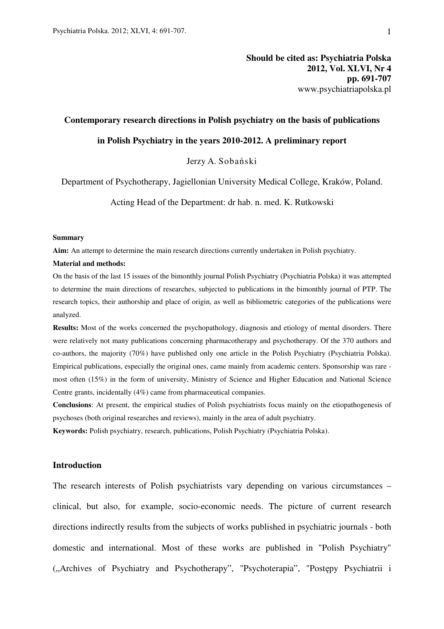# **Should be cited as: Psychiatria Polska 2012, Vol. XLVI, Nr 4 pp. 691-707**  www.psychiatriapolska.pl

## **Contemporary research directions in Polish psychiatry on the basis of publications**

#### **in Polish Psychiatry in the years 2010-2012. A preliminary report**

Jerzy A. Sobański

Department of Psychotherapy, Jagiellonian University Medical College, Kraków, Poland.

Acting Head of the Department: dr hab. n. med. K. Rutkowski

#### **Summary**

**Aim:** An attempt to determine the main research directions currently undertaken in Polish psychiatry.

#### **Material and methods:**

On the basis of the last 15 issues of the bimonthly journal Polish Psychiatry (Psychiatria Polska) it was attempted to determine the main directions of researches, subjected to publications in the bimonthly journal of PTP. The research topics, their authorship and place of origin, as well as bibliometric categories of the publications were analyzed.

**Results:** Most of the works concerned the psychopathology, diagnosis and etiology of mental disorders. There were relatively not many publications concerning pharmacotherapy and psychotherapy. Of the 370 authors and co-authors, the majority (70%) have published only one article in the Polish Psychiatry (Psychiatria Polska). Empirical publications, especially the original ones, came mainly from academic centers. Sponsorship was rare most often (15%) in the form of university, Ministry of Science and Higher Education and National Science Centre grants, incidentally (4%) came from pharmaceutical companies.

**Conclusions**: At present, the empirical studies of Polish psychiatrists focus mainly on the etiopathogenesis of psychoses (both original researches and reviews), mainly in the area of adult psychiatry.

**Keywords:** Polish psychiatry, research, publications, Polish Psychiatry (Psychiatria Polska).

## **Introduction**

The research interests of Polish psychiatrists vary depending on various circumstances – clinical, but also, for example, socio-economic needs. The picture of current research directions indirectly results from the subjects of works published in psychiatric journals - both domestic and international. Most of these works are published in "Polish Psychiatry" ("Archives of Psychiatry and Psychotherapy", "Psychoterapia", "Postępy Psychiatrii i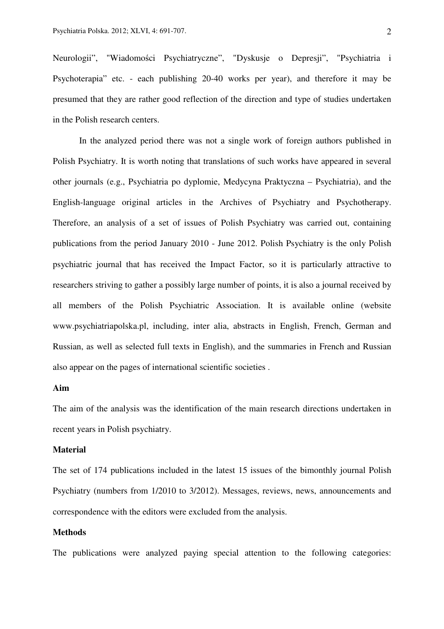Neurologii", "Wiadomości Psychiatryczne", "Dyskusje o Depresji", "Psychiatria i Psychoterapia" etc. - each publishing 20-40 works per year), and therefore it may be presumed that they are rather good reflection of the direction and type of studies undertaken in the Polish research centers.

 In the analyzed period there was not a single work of foreign authors published in Polish Psychiatry. It is worth noting that translations of such works have appeared in several other journals (e.g., Psychiatria po dyplomie, Medycyna Praktyczna – Psychiatria), and the English-language original articles in the Archives of Psychiatry and Psychotherapy. Therefore, an analysis of a set of issues of Polish Psychiatry was carried out, containing publications from the period January 2010 - June 2012. Polish Psychiatry is the only Polish psychiatric journal that has received the Impact Factor, so it is particularly attractive to researchers striving to gather a possibly large number of points, it is also a journal received by all members of the Polish Psychiatric Association. It is available online (website www.psychiatriapolska.pl, including, inter alia, abstracts in English, French, German and Russian, as well as selected full texts in English), and the summaries in French and Russian also appear on the pages of international scientific societies .

## **Aim**

The aim of the analysis was the identification of the main research directions undertaken in recent years in Polish psychiatry.

## **Material**

The set of 174 publications included in the latest 15 issues of the bimonthly journal Polish Psychiatry (numbers from 1/2010 to 3/2012). Messages, reviews, news, announcements and correspondence with the editors were excluded from the analysis.

## **Methods**

The publications were analyzed paying special attention to the following categories: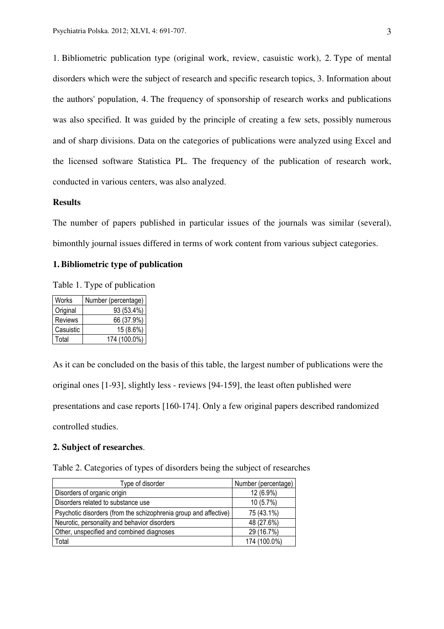1. Bibliometric publication type (original work, review, casuistic work), 2. Type of mental disorders which were the subject of research and specific research topics, 3. Information about the authors' population, 4. The frequency of sponsorship of research works and publications was also specified. It was guided by the principle of creating a few sets, possibly numerous and of sharp divisions. Data on the categories of publications were analyzed using Excel and the licensed software Statistica PL. The frequency of the publication of research work, conducted in various centers, was also analyzed.

## **Results**

The number of papers published in particular issues of the journals was similar (several), bimonthly journal issues differed in terms of work content from various subject categories.

## **1. Bibliometric type of publication**

Table 1. Type of publication

| Works          | Number (percentage) |
|----------------|---------------------|
| Original       | 93 (53.4%)          |
| <b>Reviews</b> | 66 (37.9%)          |
| Casuistic      | $15(8.6\%)$         |
| Total          | 174 (100.0%)        |

As it can be concluded on the basis of this table, the largest number of publications were the original ones [1-93], slightly less - reviews [94-159], the least often published were presentations and case reports [160-174]. Only a few original papers described randomized controlled studies.

# **2. Subject of researches**.

|  |  |  | Table 2. Categories of types of disorders being the subject of researches |
|--|--|--|---------------------------------------------------------------------------|
|  |  |  |                                                                           |
|  |  |  |                                                                           |
|  |  |  |                                                                           |

| Type of disorder                                                 | Number (percentage) |
|------------------------------------------------------------------|---------------------|
| Disorders of organic origin                                      | 12 (6.9%)           |
| Disorders related to substance use                               | 10(5.7%)            |
| Psychotic disorders (from the schizophrenia group and affective) | 75 (43.1%)          |
| Neurotic, personality and behavior disorders                     | 48 (27.6%)          |
| Other, unspecified and combined diagnoses                        | 29 (16.7%)          |
| Total                                                            | 174 (100.0%)        |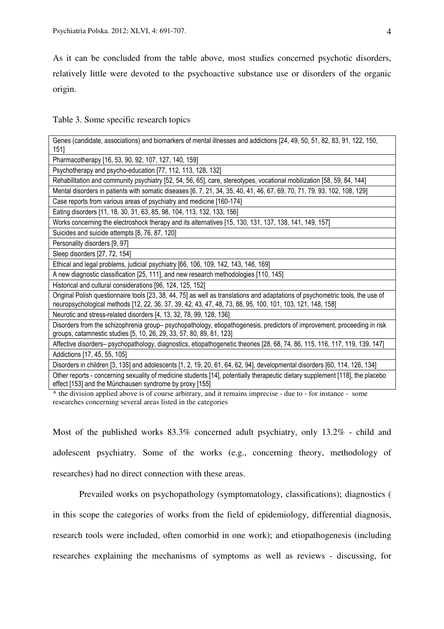As it can be concluded from the table above, most studies concerned psychotic disorders, relatively little were devoted to the psychoactive substance use or disorders of the organic origin.

Table 3. Some specific research topics

| Genes (candidate, associations) and biomarkers of mental illnesses and addictions [24, 49, 50, 51, 82, 83, 91, 122, 150,<br>151]                                                                                                            |
|---------------------------------------------------------------------------------------------------------------------------------------------------------------------------------------------------------------------------------------------|
| Pharmacotherapy [16, 53, 90, 92, 107, 127, 140, 159]                                                                                                                                                                                        |
| Psychotherapy and psycho-education [77, 112, 113, 128, 132]                                                                                                                                                                                 |
| Rehabilitation and community psychiatry [52, 54, 56, 65], care, stereotypes, vocational mobilization [58, 59, 84, 144]                                                                                                                      |
| Mental disorders in patients with somatic diseases [6, 7, 21, 34, 35, 40, 41, 46, 67, 69, 70, 71, 79, 93, 102, 108, 129]                                                                                                                    |
| Case reports from various areas of psychiatry and medicine [160-174]                                                                                                                                                                        |
| Eating disorders [11, 18, 30, 31, 63, 85, 98, 104, 113, 132, 133, 156]                                                                                                                                                                      |
| Works concerning the electroshock therapy and its alternatives [15, 130, 131, 137, 138, 141, 149, 157]                                                                                                                                      |
| Suicides and suicide attempts [8, 76, 87, 120]                                                                                                                                                                                              |
| Personality disorders [9, 97]                                                                                                                                                                                                               |
| Sleep disorders [27, 72, 154]                                                                                                                                                                                                               |
| Ethical and legal problems, judicial psychiatry [66, 106, 109, 142, 143, 146, 169]                                                                                                                                                          |
| A new diagnostic classification [25, 111], and new research methodologies [110, 145]                                                                                                                                                        |
| Historical and cultural considerations [96, 124, 125, 152]                                                                                                                                                                                  |
| Original Polish questionnaire tools [23, 38, 44, 75] as well as translations and adaptations of psychometric tools, the use of<br>neuropsychological methods [12, 22, 36, 37, 39, 42, 43, 47, 48, 73, 88, 95, 100, 101, 103, 121, 148, 158] |
| Neurotic and stress-related disorders [4, 13, 32, 78, 99, 128, 136]                                                                                                                                                                         |
| Disorders from the schizophrenia group- psychopathology, etiopathogenesis, predictors of improvement, proceeding in risk<br>groups, catamnestic studies [5, 10, 26, 29, 33, 57, 80, 89, 81, 123]                                            |
| Affective disorders- psychopathology, diagnostics, etiopathogenetic theories [28, 68, 74, 86, 115, 116, 117, 119, 139, 147]                                                                                                                 |
| Addictions [17, 45, 55, 105]                                                                                                                                                                                                                |
| Disorders in children [3, 135] and adolescents [1, 2, 19, 20, 61, 64, 62, 94], developmental disorders [60, 114, 126, 134]                                                                                                                  |
| Other reports - concerning sexuality of medicine students [14], potentially therapeutic dietary supplement [118], the placebo<br>effect [153] and the Münchausen syndrome by proxy [155]                                                    |

\* the division applied above is of course arbitrary, and it remains imprecise - due to - for instance - some researches concerning several areas listed in the categories

Most of the published works 83.3% concerned adult psychiatry, only 13.2% - child and adolescent psychiatry. Some of the works (e.g., concerning theory, methodology of researches) had no direct connection with these areas.

 Prevailed works on psychopathology (symptomatology, classifications); diagnostics ( in this scope the categories of works from the field of epidemiology, differential diagnosis, research tools were included, often comorbid in one work); and etiopathogenesis (including researches explaining the mechanisms of symptoms as well as reviews - discussing, for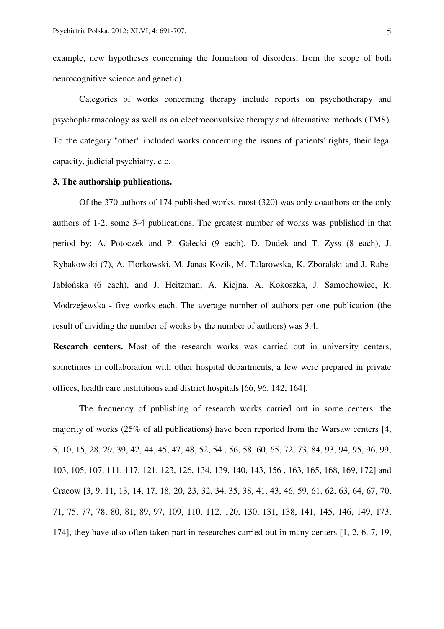example, new hypotheses concerning the formation of disorders, from the scope of both neurocognitive science and genetic).

 Categories of works concerning therapy include reports on psychotherapy and psychopharmacology as well as on electroconvulsive therapy and alternative methods (TMS). To the category "other" included works concerning the issues of patients' rights, their legal capacity, judicial psychiatry, etc.

## **3. The authorship publications.**

 Of the 370 authors of 174 published works, most (320) was only coauthors or the only authors of 1-2, some 3-4 publications. The greatest number of works was published in that period by: A. Potoczek and P. Gałecki (9 each), D. Dudek and T. Zyss (8 each), J. Rybakowski (7), A. Florkowski, M. Janas-Kozik, M. Talarowska, K. Zboralski and J. Rabe-Jabłońska (6 each), and J. Heitzman, A. Kiejna, A. Kokoszka, J. Samochowiec, R. Modrzejewska - five works each. The average number of authors per one publication (the result of dividing the number of works by the number of authors) was 3.4.

**Research centers.** Most of the research works was carried out in university centers, sometimes in collaboration with other hospital departments, a few were prepared in private offices, health care institutions and district hospitals [66, 96, 142, 164].

 The frequency of publishing of research works carried out in some centers: the majority of works (25% of all publications) have been reported from the Warsaw centers [4, 5, 10, 15, 28, 29, 39, 42, 44, 45, 47, 48, 52, 54 , 56, 58, 60, 65, 72, 73, 84, 93, 94, 95, 96, 99, 103, 105, 107, 111, 117, 121, 123, 126, 134, 139, 140, 143, 156 , 163, 165, 168, 169, 172] and Cracow [3, 9, 11, 13, 14, 17, 18, 20, 23, 32, 34, 35, 38, 41, 43, 46, 59, 61, 62, 63, 64, 67, 70, 71, 75, 77, 78, 80, 81, 89, 97, 109, 110, 112, 120, 130, 131, 138, 141, 145, 146, 149, 173, 174], they have also often taken part in researches carried out in many centers [1, 2, 6, 7, 19,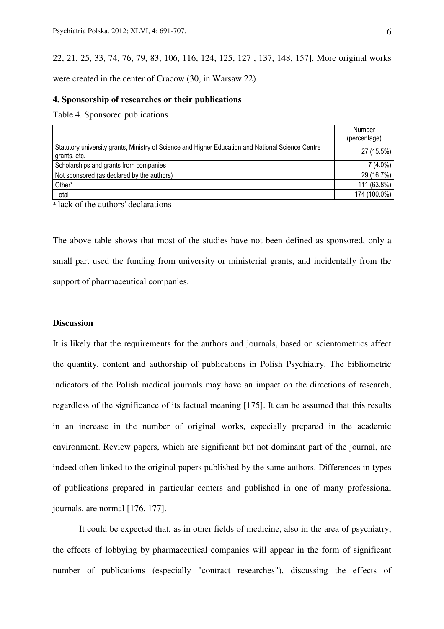22, 21, 25, 33, 74, 76, 79, 83, 106, 116, 124, 125, 127 , 137, 148, 157]. More original works were created in the center of Cracow (30, in Warsaw 22).

### **4. Sponsorship of researches or their publications**

Table 4. Sponsored publications

|                                                                                                                   | Number<br>(percentage) |
|-------------------------------------------------------------------------------------------------------------------|------------------------|
| Statutory university grants, Ministry of Science and Higher Education and National Science Centre<br>grants, etc. | 27 (15.5%)             |
| Scholarships and grants from companies                                                                            | $7(4.0\%)$             |
| Not sponsored (as declared by the authors)                                                                        | 29 (16.7%)             |
| Other*                                                                                                            | 111 (63.8%)            |
| Total                                                                                                             | 174 (100.0%)           |
|                                                                                                                   |                        |

\* lack of the authors' declarations

The above table shows that most of the studies have not been defined as sponsored, only a small part used the funding from university or ministerial grants, and incidentally from the support of pharmaceutical companies.

## **Discussion**

It is likely that the requirements for the authors and journals, based on scientometrics affect the quantity, content and authorship of publications in Polish Psychiatry. The bibliometric indicators of the Polish medical journals may have an impact on the directions of research, regardless of the significance of its factual meaning [175]. It can be assumed that this results in an increase in the number of original works, especially prepared in the academic environment. Review papers, which are significant but not dominant part of the journal, are indeed often linked to the original papers published by the same authors. Differences in types of publications prepared in particular centers and published in one of many professional journals, are normal [176, 177].

It could be expected that, as in other fields of medicine, also in the area of psychiatry, the effects of lobbying by pharmaceutical companies will appear in the form of significant number of publications (especially "contract researches"), discussing the effects of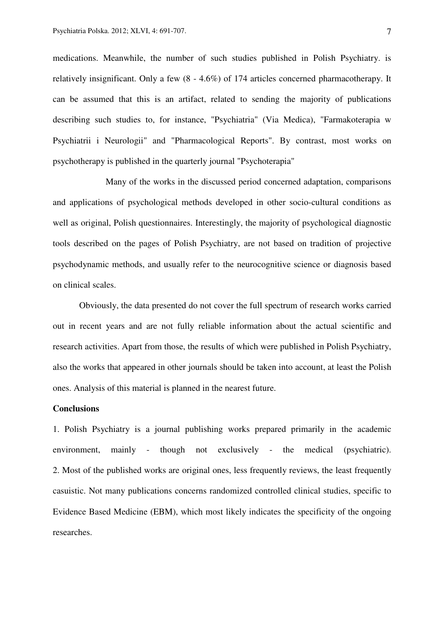medications. Meanwhile, the number of such studies published in Polish Psychiatry. is relatively insignificant. Only a few (8 - 4.6%) of 174 articles concerned pharmacotherapy. It can be assumed that this is an artifact, related to sending the majority of publications describing such studies to, for instance, "Psychiatria" (Via Medica), "Farmakoterapia w Psychiatrii i Neurologii" and "Pharmacological Reports". By contrast, most works on psychotherapy is published in the quarterly journal "Psychoterapia"

Many of the works in the discussed period concerned adaptation, comparisons and applications of psychological methods developed in other socio-cultural conditions as well as original, Polish questionnaires. Interestingly, the majority of psychological diagnostic tools described on the pages of Polish Psychiatry, are not based on tradition of projective psychodynamic methods, and usually refer to the neurocognitive science or diagnosis based on clinical scales.

Obviously, the data presented do not cover the full spectrum of research works carried out in recent years and are not fully reliable information about the actual scientific and research activities. Apart from those, the results of which were published in Polish Psychiatry, also the works that appeared in other journals should be taken into account, at least the Polish ones. Analysis of this material is planned in the nearest future.

# **Conclusions**

1. Polish Psychiatry is a journal publishing works prepared primarily in the academic environment, mainly - though not exclusively - the medical (psychiatric). 2. Most of the published works are original ones, less frequently reviews, the least frequently casuistic. Not many publications concerns randomized controlled clinical studies, specific to Evidence Based Medicine (EBM), which most likely indicates the specificity of the ongoing researches.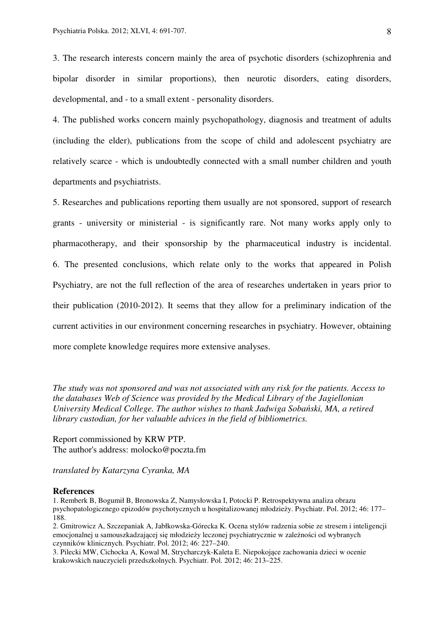3. The research interests concern mainly the area of psychotic disorders (schizophrenia and bipolar disorder in similar proportions), then neurotic disorders, eating disorders, developmental, and - to a small extent - personality disorders.

4. The published works concern mainly psychopathology, diagnosis and treatment of adults (including the elder), publications from the scope of child and adolescent psychiatry are relatively scarce - which is undoubtedly connected with a small number children and youth departments and psychiatrists.

5. Researches and publications reporting them usually are not sponsored, support of research grants - university or ministerial - is significantly rare. Not many works apply only to pharmacotherapy, and their sponsorship by the pharmaceutical industry is incidental. 6. The presented conclusions, which relate only to the works that appeared in Polish Psychiatry, are not the full reflection of the area of researches undertaken in years prior to their publication (2010-2012). It seems that they allow for a preliminary indication of the current activities in our environment concerning researches in psychiatry. However, obtaining more complete knowledge requires more extensive analyses.

*The study was not sponsored and was not associated with any risk for the patients. Access to the databases Web of Science was provided by the Medical Library of the Jagiellonian University Medical College. The author wishes to thank Jadwiga Soba*ń*ski, MA, a retired library custodian, for her valuable advices in the field of bibliometrics.* 

Report commissioned by KRW PTP. The author's address: molocko@poczta.fm

*translated by Katarzyna Cyranka, MA* 

#### **References**

1. Remberk B, Bogumił B, Bronowska Z, Namysłowska I, Potocki P. Retrospektywna analiza obrazu psychopatologicznego epizodów psychotycznych u hospitalizowanej młodzieży. Psychiatr. Pol. 2012; 46: 177– 188.

2. Gmitrowicz A, Szczepaniak A, Jabłkowska-Górecka K. Ocena stylów radzenia sobie ze stresem i inteligencji emocjonalnej u samouszkadzającej się młodzieży leczonej psychiatrycznie w zależności od wybranych czynników klinicznych. Psychiatr. Pol. 2012; 46: 227–240.

3. Pilecki MW, Cichocka A, Kowal M, Strycharczyk-Kaleta E. Niepokojące zachowania dzieci w ocenie krakowskich nauczycieli przedszkolnych. Psychiatr. Pol. 2012; 46: 213–225.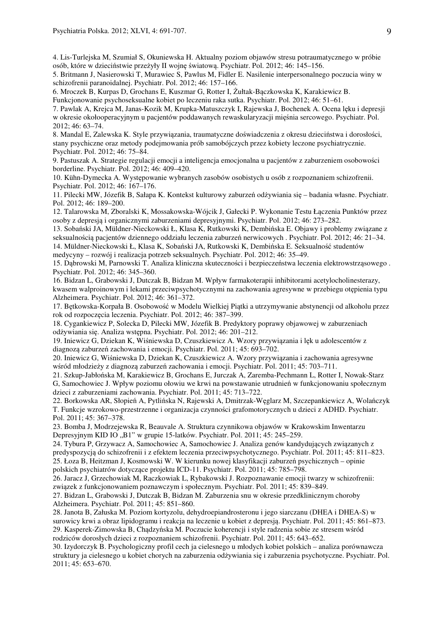4. Lis-Turlejska M, Szumiał S, Okuniewska H. Aktualny poziom objawów stresu potraumatycznego w próbie osób, które w dzieciństwie przeżyły II wojnę światową. Psychiatr. Pol. 2012; 46: 145–156.

5. Britmann J, Nasierowski T, Murawiec S, Pawlus M, Fidler E. Nasilenie interpersonalnego poczucia winy w schizofrenii paranoidalnej. Psychiatr. Pol. 2012; 46: 157–166.

6. Mroczek B, Kurpas D, Grochans E, Kuszmar G, Rotter I, Żułtak-Bączkowska K, Karakiewicz B. Funkcjonowanie psychoseksualne kobiet po leczeniu raka sutka. Psychiatr. Pol. 2012; 46: 51–61.

7. Pawlak A, Krejca M, Janas-Kozik M, Krupka-Matuszczyk I, Rajewska J, Bochenek A. Ocena lęku i depresji w okresie okołooperacyjnym u pacjentów poddawanych rewaskularyzacji mięśnia sercowego. Psychiatr. Pol. 2012; 46: 63–74.

8. Mandal E, Zalewska K. Style przywiązania, traumatyczne doświadczenia z okresu dzieciństwa i dorosłości, stany psychiczne oraz metody podejmowania prób samobójczych przez kobiety leczone psychiatrycznie. Psychiatr. Pol. 2012; 46: 75–84.

9. Pastuszak A. Strategie regulacji emocji a inteligencja emocjonalna u pacjentów z zaburzeniem osobowości borderline. Psychiatr. Pol. 2012; 46: 409–420.

10. Kühn-Dymecka A. Występowanie wybranych zasobów osobistych u osób z rozpoznaniem schizofrenii. Psychiatr. Pol. 2012; 46: 167–176.

11. Pilecki MW, Józefik B, Sałapa K. Kontekst kulturowy zaburzeń odżywiania się – badania własne. Psychiatr. Pol. 2012; 46: 189–200.

12. Talarowska M, Zboralski K, Mossakowska-Wójcik J, Gałecki P. Wykonanie Testu Łączenia Punktów przez osoby z depresją i organicznymi zaburzeniami depresyjnymi. Psychiatr. Pol. 2012; 46: 273–282.

13. Sobański JA, Müldner-Nieckowski Ł, Klasa K, Rutkowski K, Dembińska E. Objawy i problemy związane z seksualnością pacjentów dziennego oddziału leczenia zaburzeń nerwicowych . Psychiatr. Pol. 2012; 46: 21–34. 14. Müldner-Nieckowski Ł, Klasa K, Sobański JA, Rutkowski K, Dembińska E. Seksualność studentów medycyny – rozwój i realizacja potrzeb seksualnych. Psychiatr. Pol. 2012; 46: 35–49.

15. Dąbrowski M, Parnowski T. Analiza kliniczna skuteczności i bezpieczeństwa leczenia elektrowstrząsowego .

Psychiatr. Pol. 2012; 46: 345–360.

16. Bidzan L, Grabowski J, Dutczak B, Bidzan M. Wpływ farmakoterapii inhibitorami acetylocholinesterazy, kwasem walproinowym i lekami przeciwpsychotycznymi na zachowania agresywne w przebiegu otępienia typu Alzheimera. Psychiatr. Pol. 2012; 46: 361–372.

17. Bętkowska-Korpała B. Osobowość w Modelu Wielkiej Piątki a utrzymywanie abstynencji od alkoholu przez rok od rozpoczęcia leczenia. Psychiatr. Pol. 2012; 46: 387–399.

18. Cygankiewicz P, Solecka D, Pilecki MW, Józefik B. Predyktory poprawy objawowej w zaburzeniach odżywiania się. Analiza wstępna. Psychiatr. Pol. 2012; 46: 201–212.

19. Iniewicz G, Dziekan K, Wiśniewska D, Czuszkiewicz A. Wzory przywiązania i lęk u adolescentów z diagnozą zaburzeń zachowania i emocji. Psychiatr. Pol. 2011; 45: 693–702.

20. Iniewicz G, Wiśniewska D, Dziekan K, Czuszkiewicz A. Wzory przywiązania i zachowania agresywne wśród młodzieży z diagnozą zaburzeń zachowania i emocji. Psychiatr. Pol. 2011; 45: 703–711.

21. Szkup-Jabłońska M, Karakiewicz B, Grochans E, Jurczak A, Zaremba-Pechmann L, Rotter I, Nowak-Starz G, Samochowiec J. Wpływ poziomu ołowiu we krwi na powstawanie utrudnień w funkcjonowaniu społecznym dzieci z zaburzeniami zachowania. Psychiatr. Pol. 2011; 45: 713–722.

22. Borkowska AR, Słopień A, Pytlińska N, Rajewski A, Dmitrzak-Węglarz M, Szczepankiewicz A, Wolańczyk T. Funkcje wzrokowo-przestrzenne i organizacja czynności grafomotorycznych u dzieci z ADHD. Psychiatr. Pol. 2011; 45: 367–378.

23. Bomba J, Modrzejewska R, Beauvale A. Struktura czynnikowa objawów w Krakowskim Inwentarzu Depresyjnym KID IO "B1" w grupie 15-latków. Psychiatr. Pol. 2011; 45: 245–259.

24. Tybura P, Grzywacz A, Samochowiec A, Samochowiec J. Analiza genów kandydujących związanych z predyspozycją do schizofrenii i z efektem leczenia przeciwpsychotycznego. Psychiatr. Pol. 2011; 45: 811–823. 25. Łoza B, Heitzman J, Kosmowski W. W kierunku nowej klasyfikacji zaburzeń psychicznych – opinie polskich psychiatrów dotyczące projektu ICD-11. Psychiatr. Pol. 2011; 45: 785–798.

26. Jaracz J, Grzechowiak M, Raczkowiak L, Rybakowski J. Rozpoznawanie emocji twarzy w schizofrenii: związek z funkcjonowaniem poznawczym i społecznym. Psychiatr. Pol. 2011; 45: 839–849.

27. Bidzan L, Grabowski J, Dutczak B, Bidzan M. Zaburzenia snu w okresie przedklinicznym choroby Alzheimera. Psychiatr. Pol. 2011; 45: 851–860.

28. Janota B, Załuska M. Poziom kortyzolu, dehydroepiandrosteronu i jego siarczanu (DHEA i DHEA-S) w surowicy krwi a obraz lipidogramu i reakcja na leczenie u kobiet z depresją. Psychiatr. Pol. 2011; 45: 861–873. 29. Kasperek-Zimowska B, Chądzyńska M. Poczucie koherencji i style radzenia sobie ze stresem wśród rodziców dorosłych dzieci z rozpoznaniem schizofrenii. Psychiatr. Pol. 2011; 45: 643–652.

30. Izydorczyk B. Psychologiczny profil cech ja cielesnego u młodych kobiet polskich – analiza porównawcza struktury ja cielesnego u kobiet chorych na zaburzenia odżywiania się i zaburzenia psychotyczne. Psychiatr. Pol. 2011; 45: 653–670.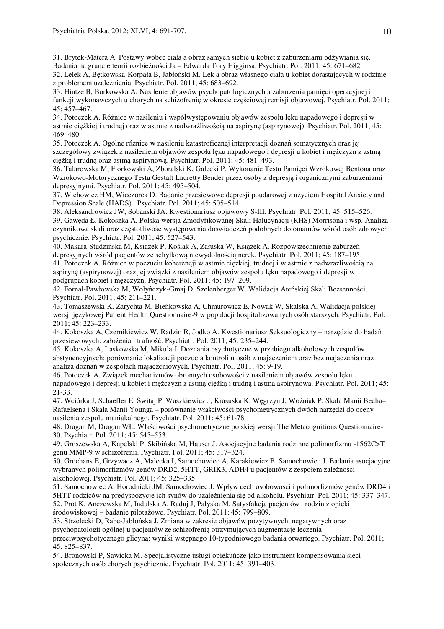31. Brytek-Matera A. Postawy wobec ciała a obraz samych siebie u kobiet z zaburzeniami odżywiania się. Badania na gruncie teorii rozbieżności Ja – Edwarda Tory Higginsa. Psychiatr. Pol. 2011; 45: 671–682. 32. Lelek A, Bętkowska-Korpała B, Jabłoński M. Lęk a obraz własnego ciała u kobiet dorastających w rodzinie

z problemem uzależnienia. Psychiatr. Pol. 2011; 45: 683–692.

33. Hintze B, Borkowska A. Nasilenie objawów psychopatologicznych a zaburzenia pamięci operacyjnej i funkcji wykonawczych u chorych na schizofrenię w okresie częściowej remisji objawowej. Psychiatr. Pol. 2011; 45: 457–467.

34. Potoczek A. Różnice w nasileniu i współwystępowaniu objawów zespołu lęku napadowego i depresji w astmie ciężkiej i trudnej oraz w astmie z nadwrażliwością na aspirynę (aspirynowej). Psychiatr. Pol. 2011; 45: 469–480.

35. Potoczek A. Ogólne różnice w nasileniu katastroficznej interpretacji doznań somatycznych oraz jej szczegółowy związek z nasileniem objawów zespołu lęku napadowego i depresji u kobiet i mężczyzn z astmą ciężką i trudną oraz astmą aspirynową. Psychiatr. Pol. 2011; 45: 481–493.

36. Talarowska M, Florkowski A, Zboralski K, Gałecki P. Wykonanie Testu Pamięci Wzrokowej Bentona oraz Wzrokowo-Motorycznego Testu Gestalt Lauretty Bender przez osoby z depresją i organicznymi zaburzeniami depresyjnymi. Psychiatr. Pol. 2011; 45: 495–504.

37. Wichowicz HM, Wieczorek D. Badanie przesiewowe depresji poudarowej z użyciem Hospital Anxiety and Depression Scale (HADS) . Psychiatr. Pol. 2011; 45: 505–514.

38. Aleksandrowicz JW, Sobański JA. Kwestionariusz objawowy S-III. Psychiatr. Pol. 2011; 45: 515–526. 39. Gawęda Ł, Kokoszka A. Polska wersja Zmodyfikowanej Skali Halucynacji (RHS) Morrisona i wsp. Analiza czynnikowa skali oraz częstotliwość występowania doświadczeń podobnych do omamów wśród osób zdrowych psychicznie. Psychiatr. Pol. 2011; 45: 527–543.

40. Makara-Studzińska M, Książek P, Koślak A, Załuska W, Książek A. Rozpowszechnienie zaburzeń depresyjnych wśród pacjentów ze schyłkową niewydolnością nerek. Psychiatr. Pol. 2011; 45: 187–195.

41. Potoczek A. Różnice w poczuciu koherencji w astmie ciężkiej, trudnej i w astmie z nadwrażliwością na aspirynę (aspirynowej) oraz jej związki z nasileniem objawów zespołu lęku napadowego i depresji w podgrupach kobiet i mężczyzn. Psychiatr. Pol. 2011; 45: 197–209.

42. Fornal-Pawłowska M, Wołyńczyk-Gmaj D, Szelenberger W. Walidacja Ateńskiej Skali Bezsenności. Psychiatr. Pol. 2011; 45: 211–221.

43. Tomaszewski K, Zarychta M, Bieńkowska A, Chmurowicz E, Nowak W, Skalska A. Walidacja polskiej wersji językowej Patient Health Questionnaire-9 w populacji hospitalizowanych osób starszych. Psychiatr. Pol. 2011; 45: 223–233.

44. Kokoszka A, Czernikiewicz W, Radzio R, Jodko A. Kwestionariusz Seksuologiczny – narzędzie do badań przesiewowych: założenia i trafność. Psychiatr. Pol. 2011; 45: 235–244.

45. Kokoszka A, Laskowska M, Mikuła J. Doznania psychotyczne w przebiegu alkoholowych zespołów abstynencyjnych: porównanie lokalizacji poczucia kontroli u osób z majaczeniem oraz bez majaczenia oraz analiza doznań w zespołach majaczeniowych. Psychiatr. Pol. 2011; 45: 9-19.

46. Potoczek A. Związek mechanizmów obronnych osobowości z nasileniem objawów zespołu lęku napadowego i depresji u kobiet i mężczyzn z astmą ciężką i trudną i astmą aspirynową. Psychiatr. Pol. 2011; 45: 21-33.

47. Wciórka J, Schaeffer E, Świtaj P, Waszkiewicz J, Krasuska K, Węgrzyn J, Woźniak P. Skala Manii Becha– Rafaelsena i Skala Manii Younga – porównanie właściwości psychometrycznych dwóch narzędzi do oceny nasilenia zespołu maniakalnego. Psychiatr. Pol. 2011; 45: 61-78.

48. Dragan M, Dragan WŁ. Właściwości psychometryczne polskiej wersji The Metacognitions Questionnaire-30. Psychiatr. Pol. 2011; 45: 545–553.

49. Groszewska A, Kapelski P, Skibińska M, Hauser J. Asocjacyjne badania rodzinne polimorfizmu -1562C>T genu MMP-9 w schizofrenii. Psychiatr. Pol. 2011; 45: 317–324.

50. Grochans E, Grzywacz A, Małecka I, Samochowiec A, Karakiewicz B, Samochowiec J. Badania asocjacyjne wybranych polimorfizmów genów DRD2, 5HTT, GRIK3, ADH4 u pacjentów z zespołem zależności alkoholowej. Psychiatr. Pol. 2011; 45: 325–335.

51. Samochowiec A, Horodnicki JM, Samochowiec J. Wpływ cech osobowości i polimorfizmów genów DRD4 i 5HTT rodziców na predyspozycje ich synów do uzależnienia się od alkoholu. Psychiatr. Pol. 2011; 45: 337–347. 52. Prot K, Anczewska M, Indulska A, Raduj J, Pałyska M. Satysfakcja pacjentów i rodzin z opieki środowiskowej – badanie pilotażowe. Psychiatr. Pol. 2011; 45: 799–809.

53. Strzelecki D, Rabe-Jabłońska J. Zmiana w zakresie objawów pozytywnych, negatywnych oraz psychopatologii ogólnej u pacjentów ze schizofrenią otrzymujących augmentację leczenia

przeciwpsychotycznego glicyną: wyniki wstępnego 10-tygodniowego badania otwartego. Psychiatr. Pol. 2011; 45: 825–837.

54. Bronowski P, Sawicka M. Specjalistyczne usługi opiekuńcze jako instrument kompensowania sieci społecznych osób chorych psychicznie. Psychiatr. Pol. 2011; 45: 391–403.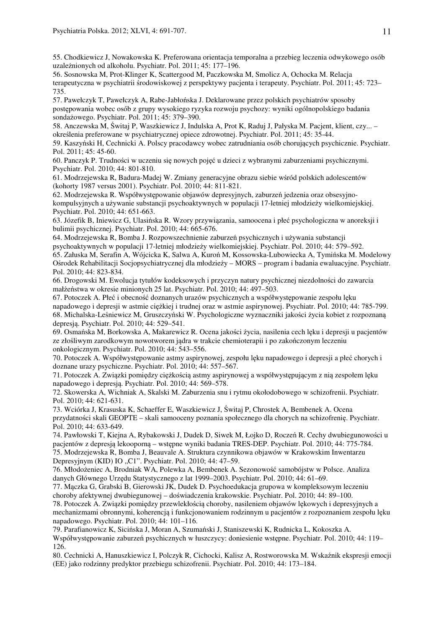55. Chodkiewicz J, Nowakowska K. Preferowana orientacja temporalna a przebieg leczenia odwykowego osób uzależnionych od alkoholu. Psychiatr. Pol. 2011; 45: 177–196.

56. Sosnowska M, Prot-Klinger K, Scattergood M, Paczkowska M, Smolicz A, Ochocka M. Relacja terapeutyczna w psychiatrii środowiskowej z perspektywy pacjenta i terapeuty. Psychiatr. Pol. 2011; 45: 723– 735.

57. Pawełczyk T, Pawełczyk A, Rabe-Jabłońska J. Deklarowane przez polskich psychiatrów sposoby postępowania wobec osób z grupy wysokiego ryzyka rozwoju psychozy: wyniki ogólnopolskiego badania sondażowego. Psychiatr. Pol. 2011; 45: 379–390.

58. Anczewska M, Świtaj P, Waszkiewicz J, Indulska A, Prot K, Raduj J, Pałyska M. Pacjent, klient, czy... – określenia preferowane w psychiatrycznej opiece zdrowotnej. Psychiatr. Pol. 2011; 45: 35-44.

59. Kaszyński H, Cechnicki A. Polscy pracodawcy wobec zatrudniania osób chorujących psychicznie. Psychiatr. Pol. 2011; 45: 45-60.

60. Panczyk P. Trudności w uczeniu się nowych pojęć u dzieci z wybranymi zaburzeniami psychicznymi. Psychiatr. Pol. 2010; 44: 801-810.

61. Modrzejewska R, Badura-Madej W. Zmiany generacyjne obrazu siebie wśród polskich adolescentów (kohorty 1987 versus 2001). Psychiatr. Pol. 2010; 44: 811-821.

62. Modrzejewska R. Współwystępowanie objawów depresyjnych, zaburzeń jedzenia oraz obsesyjnokompulsyjnych a używanie substancji psychoaktywnych w populacji 17-letniej młodzieży wielkomiejskiej. Psychiatr. Pol. 2010; 44: 651-663.

63. Józefik B, Iniewicz G, Ulasińska R. Wzory przywiązania, samoocena i płeć psychologiczna w anoreksji i bulimii psychicznej. Psychiatr. Pol. 2010; 44: 665-676.

64. Modrzejewska R, Bomba J. Rozpowszechnienie zaburzeń psychicznych i używania substancji psychoaktywnych w populacji 17-letniej młodzieży wielkomiejskiej. Psychiatr. Pol. 2010; 44: 579–592. 65. Załuska M, Serafin A, Wójcicka K, Salwa A, Kuroń M, Kossowska-Lubowiecka A, Tymińska M. Modelowy Ośrodek Rehabilitacji Socjopsychiatrycznej dla młodzieży – MORS – program i badania ewaluacyjne. Psychiatr. Pol. 2010; 44: 823-834.

66. Drogowski M. Ewolucja tytułów kodeksowych i przyczyn natury psychicznej niezdolności do zawarcia małżeństwa w okresie minionych 25 lat. Psychiatr. Pol. 2010; 44: 497–503.

67. Potoczek A. Płeć i obecność doznanych urazów psychicznych a współwystępowanie zespołu lęku napadowego i depresji w astmie ciężkiej i trudnej oraz w astmie aspirynowej. Psychiatr. Pol. 2010; 44: 785-799. 68. Michalska-Leśniewicz M, Gruszczyński W. Psychologiczne wyznaczniki jakości życia kobiet z rozpoznaną depresją. Psychiatr. Pol. 2010; 44: 529–541.

69. Osmańska M, Borkowska A, Makarewicz R. Ocena jakości życia, nasilenia cech lęku i depresji u pacjentów ze złośliwym zarodkowym nowotworem jądra w trakcie chemioterapii i po zakończonym leczeniu onkologicznym. Psychiatr. Pol. 2010; 44: 543–556.

70. Potoczek A. Współwystępowanie astmy aspirynowej, zespołu lęku napadowego i depresji a płeć chorych i doznane urazy psychiczne. Psychiatr. Pol. 2010; 44: 557–567.

71. Potoczek A. Związki pomiędzy ciężkością astmy aspirynowej a współwystępującym z nią zespołem lęku napadowego i depresją. Psychiatr. Pol. 2010; 44: 569–578.

72. Skowerska A, Wichniak A, Skalski M. Zaburzenia snu i rytmu okołodobowego w schizofrenii. Psychiatr. Pol. 2010; 44: 621-631.

73. Wciórka J, Krasuska K, Schaeffer E, Waszkiewicz J, Świtaj P, Chrostek A, Bembenek A. Ocena przydatności skali GEOPTE – skali samooceny poznania społecznego dla chorych na schizofrenię. Psychiatr. Pol. 2010; 44: 633-649.

74. Pawłowski T, Kiejna A, Rybakowski J, Dudek D, Siwek M, Łojko D, Roczeń R. Cechy dwubiegunowości u pacjentów z depresją lekooporną – wstępne wyniki badania TRES-DEP. Psychiatr. Pol. 2010; 44: 775-784. 75. Modrzejewska R, Bomba J, Beauvale A. Struktura czynnikowa objawów w Krakowskim Inwentarzu Depresyjnym (KID) IO "C1". Psychiatr. Pol. 2010; 44: 47–59.

76. Młodożeniec A, Brodniak WA, Polewka A, Bembenek A. Sezonowość samobójstw w Polsce. Analiza danych Głównego Urzędu Statystycznego z lat 1999–2003. Psychiatr. Pol. 2010; 44: 61–69.

77. Mączka G, Grabski B, Gierowski JK, Dudek D. Psychoedukacja grupowa w kompleksowym leczeniu choroby afektywnej dwubiegunowej – doświadczenia krakowskie. Psychiatr. Pol. 2010; 44: 89–100.

78. Potoczek A. Związki pomiędzy przewlekłością choroby, nasileniem objawów lękowych i depresyjnych a mechanizmami obronnymi, koherencją i funkcjonowaniem rodzinnym u pacjentów z rozpoznaniem zespołu lęku napadowego. Psychiatr. Pol. 2010; 44: 101–116.

79. Parafianowicz K, Sicińska J, Moran A, Szumański J, Staniszewski K, Rudnicka L, Kokoszka A. Współwystępowanie zaburzeń psychicznych w łuszczycy: doniesienie wstępne. Psychiatr. Pol. 2010; 44: 119– 126.

80. Cechnicki A, Hanuszkiewicz I, Polczyk R, Cichocki, Kalisz A, Rostworowska M. Wskaźnik ekspresji emocji (EE) jako rodzinny predyktor przebiegu schizofrenii. Psychiatr. Pol. 2010; 44: 173–184.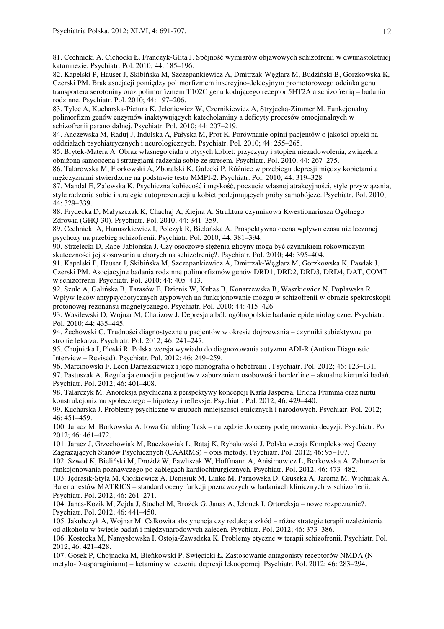81. Cechnicki A, Cichocki Ł, Franczyk-Glita J. Spójność wymiarów objawowych schizofrenii w dwunastoletniej katamnezie. Psychiatr. Pol. 2010; 44: 185–196.

82. Kapelski P, Hauser J, Skibińska M, Szczepankiewicz A, Dmitrzak-Węglarz M, Budziński B, Gorzkowska K, Czerski PM. Brak asocjacji pomiędzy polimorfizmem insercyjno-delecyjnym promotorowego odcinka genu transportera serotoniny oraz polimorfizmem T102C genu kodującego receptor 5HT2A a schizofrenią – badania rodzinne. Psychiatr. Pol. 2010; 44: 197–206.

83. Tylec A, Kucharska-Pietura K, Jeleniewicz W, Czernikiewicz A, Stryjecka-Zimmer M. Funkcjonalny polimorfizm genów enzymów inaktywujących katecholaminy a deficyty procesów emocjonalnych w schizofrenii paranoidalnej. Psychiatr. Pol. 2010; 44: 207–219.

84. Anczewska M, Raduj J, Indulska A, Pałyska M, Prot K. Porównanie opinii pacjentów o jakości opieki na oddziałach psychiatrycznych i neurologicznych. Psychiatr. Pol. 2010; 44: 255–265.

85. Brytek-Matera A. Obraz własnego ciała u otyłych kobiet: przyczyny i stopień niezadowolenia, związek z obniżoną samooceną i strategiami radzenia sobie ze stresem. Psychiatr. Pol. 2010; 44: 267–275.

86. Talarowska M, Florkowski A, Zboralski K, Gałecki P. Różnice w przebiegu depresji między kobietami a mężczyznami stwierdzone na podstawie testu MMPI-2. Psychiatr. Pol. 2010; 44: 319–328.

87. Mandal E, Zalewska K. Psychiczna kobiecość i męskość, poczucie własnej atrakcyjności, style przywiązania, style radzenia sobie i strategie autoprezentacji u kobiet podejmujących próby samobójcze. Psychiatr. Pol. 2010; 44: 329–339.

88. Frydecka D, Małyszczak K, Chachaj A, Kiejna A. Struktura czynnikowa Kwestionariusza Ogólnego Zdrowia (GHQ-30). Psychiatr. Pol. 2010; 44: 341–359.

89. Cechnicki A, Hanuszkiewicz I, Polczyk R, Bielańska A. Prospektywna ocena wpływu czasu nie leczonej psychozy na przebieg schizofrenii. Psychiatr. Pol. 2010; 44: 381–394.

90. Strzelecki D, Rabe-Jabłońska J. Czy osoczowe stężenia glicyny mogą być czynnikiem rokowniczym skuteczności jej stosowania u chorych na schizofrenię?. Psychiatr. Pol. 2010; 44: 395–404.

91. Kapelski P, Hauser J, Skibińska M, Szczepankiewicz A, Dmitrzak-Węglarz M, Gorzkowska K, Pawlak J, Czerski PM. Asocjacyjne badania rodzinne polimorfizmów genów DRD1, DRD2, DRD3, DRD4, DAT, COMT w schizofrenii. Psychiatr. Pol. 2010; 44: 405–413.

92. Szulc A, Galińska B, Tarasów E, Dzienis W, Kubas B, Konarzewska B, Waszkiewicz N, Popławska R. Wpływ leków antypsychotycznych atypowych na funkcjonowanie mózgu w schizofrenii w obrazie spektroskopii protonowej rezonansu magnetycznego. Psychiatr. Pol. 2010; 44: 415–426.

93. Wasilewski D, Wojnar M, Chatizow J. Depresja a ból: ogólnopolskie badanie epidemiologiczne. Psychiatr. Pol. 2010; 44: 435–445.

94. Żechowski C. Trudności diagnostyczne u pacjentów w okresie dojrzewania – czynniki subiektywne po stronie lekarza. Psychiatr. Pol. 2012; 46: 241–247.

95. Chojnicka I, Płoski R. Polska wersja wywiadu do diagnozowania autyzmu ADI-R (Autism Diagnostic Interview – Revised). Psychiatr. Pol. 2012; 46: 249–259.

96. Marcinowski F. Leon Daraszkiewicz i jego monografia o hebefrenii . Psychiatr. Pol. 2012; 46: 123–131. 97. Pastuszak A. Regulacja emocji u pacjentów z zaburzeniem osobowości borderline – aktualne kierunki badań. Psychiatr. Pol. 2012; 46: 401–408.

98. Talarczyk M. Anoreksja psychiczna z perspektywy koncepcji Karla Jaspersa, Ericha Fromma oraz nurtu konstrukcjonizmu społecznego – hipotezy i refleksje. Psychiatr. Pol. 2012; 46: 429–440.

99. Kucharska J. Problemy psychiczne w grupach mniejszości etnicznych i narodowych. Psychiatr. Pol. 2012; 46: 451–459.

100. Jaracz M, Borkowska A. Iowa Gambling Task – narzędzie do oceny podejmowania decyzji. Psychiatr. Pol. 2012; 46: 461–472.

101. Jaracz J, Grzechowiak M, Raczkowiak L, Rataj K, Rybakowski J. Polska wersja Kompleksowej Oceny Zagrażających Stanów Psychicznych (CAARMS) – opis metody. Psychiatr. Pol. 2012; 46: 95–107.

102. Szwed K, Bieliński M, Drożdż W, Pawliszak W, Hoffmann A, Anisimowicz L, Borkowska A. Zaburzenia funkcjonowania poznawczego po zabiegach kardiochirurgicznych. Psychiatr. Pol. 2012; 46: 473–482.

103. Jędrasik-Styła M, Ciołkiewicz A, Denisiuk M, Linke M, Parnowska D, Gruszka A, Jarema M, Wichniak A. Bateria testów MATRICS – standard oceny funkcji poznawczych w badaniach klinicznych w schizofrenii. Psychiatr. Pol. 2012; 46: 261–271.

104. Janas-Kozik M, Zejda J, Stochel M, Brożek G, Janas A, Jelonek I. Ortoreksja – nowe rozpoznanie?. Psychiatr. Pol. 2012; 46: 441–450.

105. Jakubczyk A, Wojnar M. Całkowita abstynencja czy redukcja szkód – różne strategie terapii uzależnienia od alkoholu w świetle badań i międzynarodowych zaleceń. Psychiatr. Pol. 2012; 46: 373–386.

106. Kostecka M, Namysłowska I, Ostoja-Zawadzka K. Problemy etyczne w terapii schizofrenii. Psychiatr. Pol. 2012; 46: 421–428.

107. Gosek P, Chojnacka M, Bieńkowski P, Święcicki Ł. Zastosowanie antagonisty receptorów NMDA (Nmetylo-D-asparaginianu) – ketaminy w leczeniu depresji lekoopornej. Psychiatr. Pol. 2012; 46: 283–294.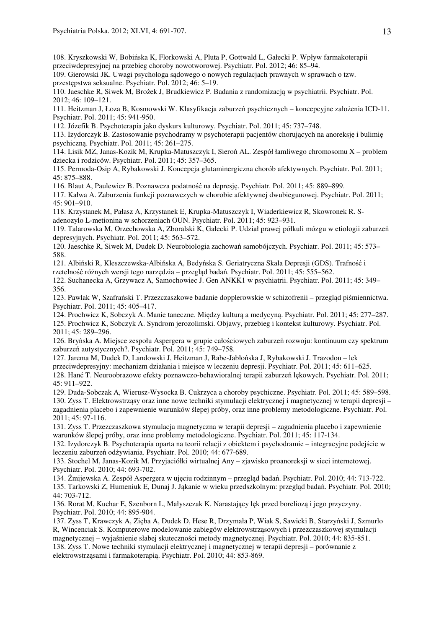108. Kryszkowski W, Bobińska K, Florkowski A, Pluta P, Gottwald L, Gałecki P. Wpływ farmakoterapii przeciwdepresyjnej na przebieg choroby nowotworowej. Psychiatr. Pol. 2012; 46: 85–94.

109. Gierowski JK. Uwagi psychologa sądowego o nowych regulacjach prawnych w sprawach o tzw. przestępstwa seksualne. Psychiatr. Pol. 2012; 46: 5–19.

110. Jaeschke R, Siwek M, Brożek J, Brudkiewicz P. Badania z randomizacją w psychiatrii. Psychiatr. Pol. 2012; 46: 109–121.

111. Heitzman J, Łoza B, Kosmowski W. Klasyfikacja zaburzeń psychicznych – koncepcyjne założenia ICD-11. Psychiatr. Pol. 2011; 45: 941-950.

112. Józefik B. Psychoterapia jako dyskurs kulturowy. Psychiatr. Pol. 2011; 45: 737–748.

113. Izydorczyk B. Zastosowanie psychodramy w psychoterapii pacjentów chorujących na anoreksję i bulimię psychiczną. Psychiatr. Pol. 2011; 45: 261–275.

114. Lisik MZ, Janas-Kozik M, Krupka-Matuszczyk I, Sieroń AL. Zespół łamliwego chromosomu X – problem dziecka i rodziców. Psychiatr. Pol. 2011; 45: 357–365.

115. Permoda-Osip A, Rybakowski J. Koncepcja glutaminergiczna chorób afektywnych. Psychiatr. Pol. 2011; 45: 875–888.

116. Blaut A, Paulewicz B. Poznawcza podatność na depresję. Psychiatr. Pol. 2011; 45: 889–899.

117. Kałwa A. Zaburzenia funkcji poznawczych w chorobie afektywnej dwubiegunowej. Psychiatr. Pol. 2011; 45: 901–910.

118. Krzystanek M, Pałasz A, Krzystanek E, Krupka-Matuszczyk I, Wiaderkiewicz R, Skowronek R. Sadenozylo L-metionina w schorzeniach OUN. Psychiatr. Pol. 2011; 45: 923–931.

119. Talarowska M, Orzechowska A, Zboralski K, Gałecki P. Udział prawej półkuli mózgu w etiologii zaburzeń depresyjnych. Psychiatr. Pol. 2011; 45: 563–572.

120. Jaeschke R, Siwek M, Dudek D. Neurobiologia zachowań samobójczych. Psychiatr. Pol. 2011; 45: 573– 588.

121. Albiński R, Kleszczewska-Albińska A, Bedyńska S. Geriatryczna Skala Depresji (GDS). Trafność i

rzetelność różnych wersji tego narzędzia – przegląd badań. Psychiatr. Pol. 2011; 45: 555–562.

122. Suchanecka A, Grzywacz A, Samochowiec J. Gen ANKK1 w psychiatrii. Psychiatr. Pol. 2011; 45: 349– 356.

123. Pawlak W, Szafrański T. Przezczaszkowe badanie dopplerowskie w schizofrenii – przegląd piśmiennictwa. Psychiatr. Pol. 2011; 45: 405–417.

124. Prochwicz K, Sobczyk A. Manie taneczne. Między kulturą a medycyną. Psychiatr. Pol. 2011; 45: 277–287.

125. Prochwicz K, Sobczyk A. Syndrom jerozolimski. Objawy, przebieg i kontekst kulturowy. Psychiatr. Pol. 2011; 45: 289–296.

126. Bryńska A. Miejsce zespołu Aspergera w grupie całościowych zaburzeń rozwoju: kontinuum czy spektrum zaburzeń autystycznych?. Psychiatr. Pol. 2011; 45: 749–758.

127. Jarema M, Dudek D, Landowski J, Heitzman J, Rabe-Jabłońska J, Rybakowski J. Trazodon – lek

przeciwdepresyjny: mechanizm działania i miejsce w leczeniu depresji. Psychiatr. Pol. 2011; 45: 611–625.

128. Hanć T. Neuroobrazowe efekty poznawczo-behawioralnej terapii zaburzeń lękowych. Psychiatr. Pol. 2011; 45: 911–922.

129. Duda-Sobczak A, Wierusz-Wysocka B. Cukrzyca a choroby psychiczne. Psychiatr. Pol. 2011; 45: 589–598. 130. Zyss T. Elektrowstrząsy oraz inne nowe techniki stymulacji elektrycznej i magnetycznej w terapii depresji – zagadnienia placebo i zapewnienie warunków ślepej próby, oraz inne problemy metodologiczne. Psychiatr. Pol. 2011; 45: 97-116.

131. Zyss T. Przezczaszkowa stymulacja magnetyczna w terapii depresji – zagadnienia placebo i zapewnienie warunków ślepej próby, oraz inne problemy metodologiczne. Psychiatr. Pol. 2011; 45: 117-134.

132. Izydorczyk B. Psychoterapia oparta na teorii relacji z obiektem i psychodramie – integracyjne podejście w leczeniu zaburzeń odżywiania. Psychiatr. Pol. 2010; 44: 677-689.

133. Stochel M, Janas-Kozik M. Przyjaciółki wirtualnej Any – zjawisko proanoreksji w sieci internetowej. Psychiatr. Pol. 2010; 44: 693-702.

134. Żmijewska A. Zespół Aspergera w ujęciu rodzinnym – przegląd badań. Psychiatr. Pol. 2010; 44: 713-722. 135. Tarkowski Z, Humeniuk E, Dunaj J. Jąkanie w wieku przedszkolnym: przegląd badań. Psychiatr. Pol. 2010; 44: 703-712.

136. Rorat M, Kuchar E, Szenborn L, Małyszczak K. Narastający lęk przed boreliozą i jego przyczyny. Psychiatr. Pol. 2010; 44: 895-904.

137. Zyss T, Krawczyk A, Zięba A, Dudek D, Hese R, Drzymała P, Wiak S, Sawicki B, Starzyński J, Szmurło R, Wincenciak S. Komputerowe modelowanie zabiegów elektrowstrząsowych i przezczaszkowej stymulacji magnetycznej – wyjaśnienie słabej skuteczności metody magnetycznej. Psychiatr. Pol. 2010; 44: 835-851. 138. Zyss T. Nowe techniki stymulacji elektrycznej i magnetycznej w terapii depresji – porównanie z elektrowstrząsami i farmakoterapią. Psychiatr. Pol. 2010; 44: 853-869.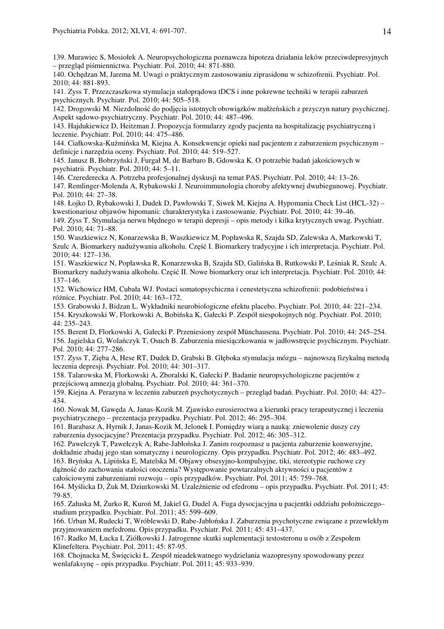139. Murawiec S, Mosiołek A. Neuropsychologiczna poznawcza hipoteza działania leków przeciwdepresyjnych – przegląd piśmiennictwa. Psychiatr. Pol. 2010; 44: 871-880.

140. Ochędzan M, Jarema M. Uwagi o praktycznym zastosowaniu ziprasidonu w schizofrenii. Psychiatr. Pol. 2010; 44: 881-893.

141. Zyss T. Przezczaszkowa stymulacja stałoprądowa tDCS i inne pokrewne techniki w terapii zaburzeń psychicznych. Psychiatr. Pol. 2010; 44: 505–518.

142. Drogowski M. Niezdolność do podjęcia istotnych obowiązków małżeńskich z przyczyn natury psychicznej. Aspekt sądowo-psychiatryczny. Psychiatr. Pol. 2010; 44: 487–496.

143. Hajdukiewicz D, Heitzman J. Propozycja formularzy zgody pacjenta na hospitalizację psychiatryczną i leczenie. Psychiatr. Pol. 2010; 44: 475–486.

144. Ciałkowska-Kuźmińska M, Kiejna A. Konsekwencje opieki nad pacjentem z zaburzeniem psychicznym – definicje i narzędzia oceny. Psychiatr. Pol. 2010; 44: 519–527.

145. Janusz B, Bobrzyński J, Furgał M, de Barbaro B, Gdowska K. O potrzebie badań jakościowych w psychiatrii. Psychiatr. Pol. 2010; 44: 5–11.

146. Czerederecka A. Potrzeba profesjonalnej dyskusji na temat PAS. Psychiatr. Pol. 2010; 44: 13–26.

147. Remlinger-Molenda A, Rybakowski J. Neuroimmunologia choroby afektywnej dwubiegunowej. Psychiatr. Pol. 2010; 44: 27–38.

148. Łojko D, Rybakowski J, Dudek D, Pawłowski T, Siwek M, Kiejna A. Hypomania Check List (HCL-32) – kwestionariusz objawów hipomanii: charakterystyka i zastosowanie. Psychiatr. Pol. 2010; 44: 39–46.

149. Zyss T. Stymulacja nerwu błędnego w terapii depresji – opis metody i kilka krytycznych uwag. Psychiatr. Pol. 2010; 44: 71–88.

150. Waszkiewicz N, Konarzewska B, Waszkiewicz M, Popławska R, Szajda SD, Zalewska A, Markowski T, Szulc A. Biomarkery nadużywania alkoholu. Część I. Biomarkery tradycyjne i ich interpretacja. Psychiatr. Pol. 2010; 44: 127–136.

151. Waszkiewicz N, Popławska R, Konarzewska B, Szajda SD, Galińska B, Rutkowski P, Leśniak R, Szulc A. Biomarkery nadużywania alkoholu. Część II. Nowe biomarkery oraz ich interpretacja. Psychiatr. Pol. 2010; 44: 137–146.

152. Wichowicz HM, Cubała WJ. Postaci somatopsychiczna i cenestetyczna schizofrenii: podobieństwa i różnice. Psychiatr. Pol. 2010; 44: 163–172.

153. Grabowski J, Bidzan L. Wykładniki neurobiologiczne efektu placebo. Psychiatr. Pol. 2010; 44: 221–234. 154. Kryszkowski W, Florkowski A, Bobińska K, Gałecki P. Zespół niespokojnych nóg. Psychiatr. Pol. 2010; 44: 235–243.

155. Berent D, Florkowski A, Gałecki P. Przeniesiony zespół Münchausena. Psychiatr. Pol. 2010; 44: 245–254. 156. Jagielska G, Wolańczyk T, Osuch B. Zaburzenia miesiączkowania w jadłowstręcie psychicznym. Psychiatr. Pol. 2010; 44: 277–286.

157. Zyss T, Zięba A, Hese RT, Dudek D, Grabski B. Głęboka stymulacja mózgu – najnowszą fizykalną metodą leczenia depresji. Psychiatr. Pol. 2010; 44: 301–317.

158. Talarowska M, Florkowski A, Zboralski K, Gałecki P. Badanie neuropsychologiczne pacjentów z przejściową amnezją globalną. Psychiatr. Pol. 2010; 44: 361–370.

159. Kiejna A. Perazyna w leczeniu zaburzeń psychotycznych – przegląd badań. Psychiatr. Pol. 2010; 44: 427– 434.

160. Nowak M, Gawęda A, Janas-Kozik M. Zjawisko eurosieroctwa a kierunki pracy terapeutycznej i leczenia psychiatrycznego – prezentacja przypadku. Psychiatr. Pol. 2012; 46: 295–304.

161. Barabasz A, Hyrnik J, Janas-Kozik M, Jelonek I. Pomiędzy wiarą a nauką: zniewolenie duszy czy zaburzenia dysocjacyjne? Prezentacja przypadku. Psychiatr. Pol. 2012; 46: 305–312.

162. Pawełczyk T, Pawełczyk A, Rabe-Jabłońska J. Zanim rozpoznasz u pacjenta zaburzenie konwersyjne, dokładnie zbadaj jego stan somatyczny i neurologiczny. Opis przypadku. Psychiatr. Pol. 2012; 46: 483–492. 163. Bryńska A, Lipińska E, Matelska M. Objawy obsesyjno-kompulsyjne, tiki, stereotypie ruchowe czy

dążność do zachowania stałości otoczenia? Występowanie powtarzalnych aktywności u pacjentów z

całościowymi zaburzeniami rozwoju – opis przypadków. Psychiatr. Pol. 2011; 45: 759–768.

164. Myślicka D, Żuk M, Dziurkowski M. Uzależnienie od efedronu – opis przypadku. Psychiatr. Pol. 2011; 45: 79-85.

165. Załuska M, Żurko R, Kuroń M, Jakiel G, Dudel A. Fuga dysocjacyjna u pacjentki oddziału położniczego– studium przypadku. Psychiatr. Pol. 2011; 45: 599–609.

166. Urban M, Rudecki T, Wróblewski D, Rabe-Jabłońska J. Zaburzenia psychotyczne związane z przewlekłym przyjmowaniem mefedronu. Opis przypadku. Psychiatr. Pol. 2011; 45: 431–437.

167. Radko M, Łucka I, Ziółkowski J. Jatrogenne skutki suplementacji testosteronu u osób z Zespołem Klinefeltera. Psychiatr. Pol. 2011; 45: 87-95.

168. Chojnacka M, Święcicki Ł. Zespół nieadekwatnego wydzielania wazopresyny spowodowany przez wenlafaksynę – opis przypadku. Psychiatr. Pol. 2011; 45: 933–939.